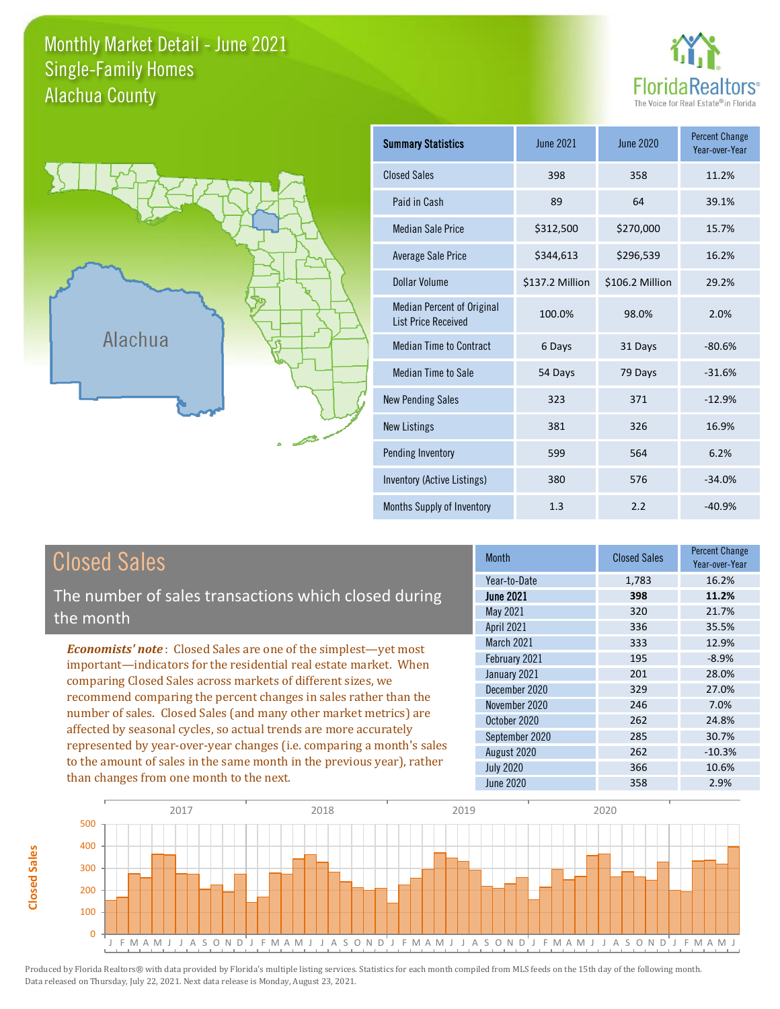#### Monthly Market Detail - June 2021 Alachua County Single-Family Homes





| <b>Summary Statistics</b>                                       | <b>June 2021</b> | June 2020       | <b>Percent Change</b><br>Year-over-Year |
|-----------------------------------------------------------------|------------------|-----------------|-----------------------------------------|
| <b>Closed Sales</b>                                             | 398              | 358             | 11.2%                                   |
| Paid in Cash                                                    | 89               | 64              | 39.1%                                   |
| <b>Median Sale Price</b>                                        | \$312,500        | \$270,000       | 15.7%                                   |
| <b>Average Sale Price</b>                                       | \$344,613        | \$296,539       | 16.2%                                   |
| Dollar Volume                                                   | \$137.2 Million  | \$106.2 Million | 29.2%                                   |
| <b>Median Percent of Original</b><br><b>List Price Received</b> | 100.0%           | 98.0%           | 2.0%                                    |
| <b>Median Time to Contract</b>                                  | 6 Days           | 31 Days         | $-80.6%$                                |
| Median Time to Sale                                             | 54 Days          | 79 Days         | $-31.6%$                                |
| <b>New Pending Sales</b>                                        | 323              | 371             | $-12.9%$                                |
| <b>New Listings</b>                                             | 381              | 326             | 16.9%                                   |
| Pending Inventory                                               | 599              | 564             | 6.2%                                    |
| Inventory (Active Listings)                                     | 380              | 576             | $-34.0%$                                |
| Months Supply of Inventory                                      | 1.3              | 2.2             | $-40.9%$                                |

## Closed Sales

**Closed Sales**

**Closed Sales** 

The number of sales transactions which closed during the month

*Economists' note* : Closed Sales are one of the simplest—yet most important—indicators for the residential real estate market. When comparing Closed Sales across markets of different sizes, we recommend comparing the percent changes in sales rather than the number of sales. Closed Sales (and many other market metrics) are affected by seasonal cycles, so actual trends are more accurately represented by year-over-year changes (i.e. comparing a month's sales to the amount of sales in the same month in the previous year), rather than changes from one month to the next.

| <b>Month</b>     | <b>Closed Sales</b> | <b>Percent Change</b><br>Year-over-Year |
|------------------|---------------------|-----------------------------------------|
| Year-to-Date     | 1,783               | 16.2%                                   |
| <b>June 2021</b> | 398                 | 11.2%                                   |
| May 2021         | 320                 | 21.7%                                   |
| April 2021       | 336                 | 35.5%                                   |
| March 2021       | 333                 | 12.9%                                   |
| February 2021    | 195                 | $-8.9%$                                 |
| January 2021     | 201                 | 28.0%                                   |
| December 2020    | 329                 | 27.0%                                   |
| November 2020    | 246                 | 7.0%                                    |
| October 2020     | 262                 | 24.8%                                   |
| September 2020   | 285                 | 30.7%                                   |
| August 2020      | 262                 | $-10.3%$                                |
| <b>July 2020</b> | 366                 | 10.6%                                   |
| <b>June 2020</b> | 358                 | 2.9%                                    |

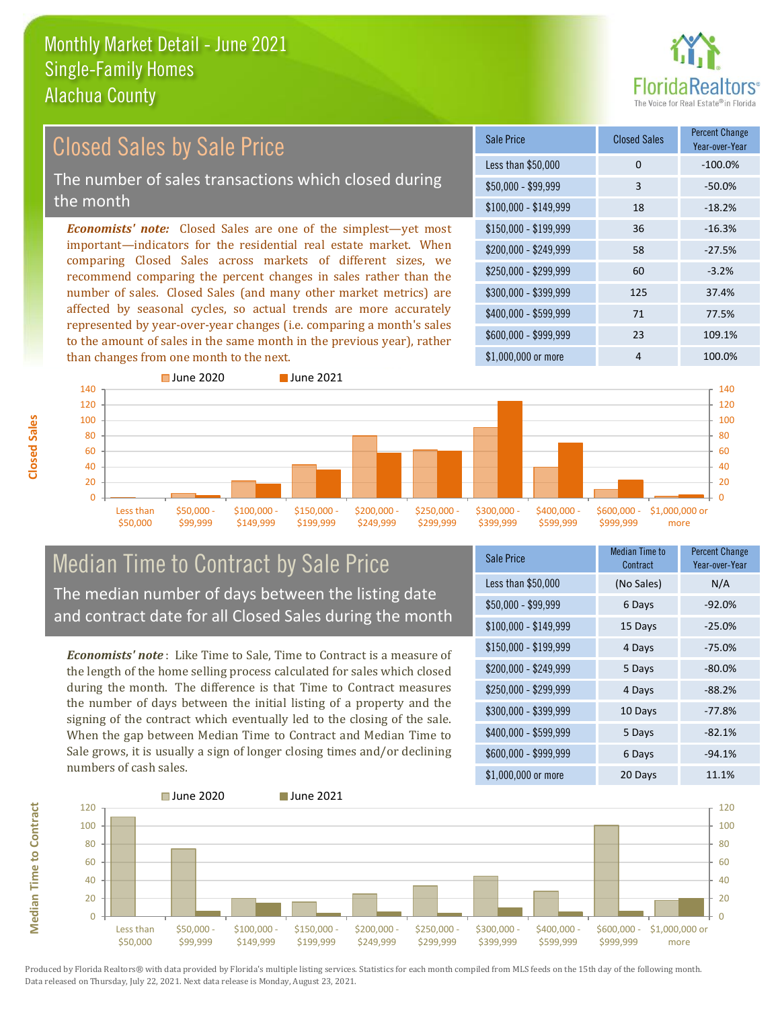

#### \$100,000 - \$149,999 18 -18.2% Sale Price Closed Sales Percent Change Year-over-Year Less than \$50,000 0 0 -100.0% \$50,000 - \$99,999 3 -50.0% \$150,000 - \$199,999 36 -16.3% \$200,000 - \$249,999 58 -27.5% \$400,000 - \$599,999 71 77.5% \$600,000 - \$999,999 23 109.1% *Economists' note:* Closed Sales are one of the simplest—yet most important—indicators for the residential real estate market. When comparing Closed Sales across markets of different sizes, we recommend comparing the percent changes in sales rather than the number of sales. Closed Sales (and many other market metrics) are affected by seasonal cycles, so actual trends are more accurately represented by year-over-year changes (i.e. comparing a month's sales to the amount of sales in the same month in the previous year), rather than changes from one month to the next. \$1,000,000 or more 4 100.0%  $$250,000 - $299,999$  60 -3.2% \$300,000 - \$399,999 125 37.4% 140 ■ June 2020 **■ June 2021** 140 Closed Sales by Sale Price The number of sales transactions which closed during the month



#### Median Time to Contract by Sale Price The median number of days between the listing date and contract date for all Closed Sales during the month

*Economists' note* : Like Time to Sale, Time to Contract is a measure of the length of the home selling process calculated for sales which closed during the month. The difference is that Time to Contract measures the number of days between the initial listing of a property and the signing of the contract which eventually led to the closing of the sale. When the gap between Median Time to Contract and Median Time to Sale grows, it is usually a sign of longer closing times and/or declining numbers of cash sales.

| <b>Sale Price</b>     | <b>Median Time to</b><br>Contract | <b>Percent Change</b><br>Year-over-Year |
|-----------------------|-----------------------------------|-----------------------------------------|
| Less than \$50,000    | (No Sales)                        | N/A                                     |
| $$50,000 - $99,999$   | 6 Days                            | $-92.0%$                                |
| $$100,000 - $149,999$ | 15 Days                           | $-25.0%$                                |
| $$150,000 - $199,999$ | 4 Days                            | $-75.0%$                                |
| \$200,000 - \$249,999 | 5 Days                            | $-80.0%$                                |
| \$250,000 - \$299,999 | 4 Days                            | $-88.2%$                                |
| \$300,000 - \$399,999 | 10 Days                           | $-77.8%$                                |
| \$400,000 - \$599,999 | 5 Days                            | $-82.1%$                                |
| \$600,000 - \$999,999 | 6 Days                            | $-94.1%$                                |
| \$1,000,000 or more   | 20 Days                           | 11.1%                                   |



**Closed Sales**

**Median Time to Contract Median Time to Contract**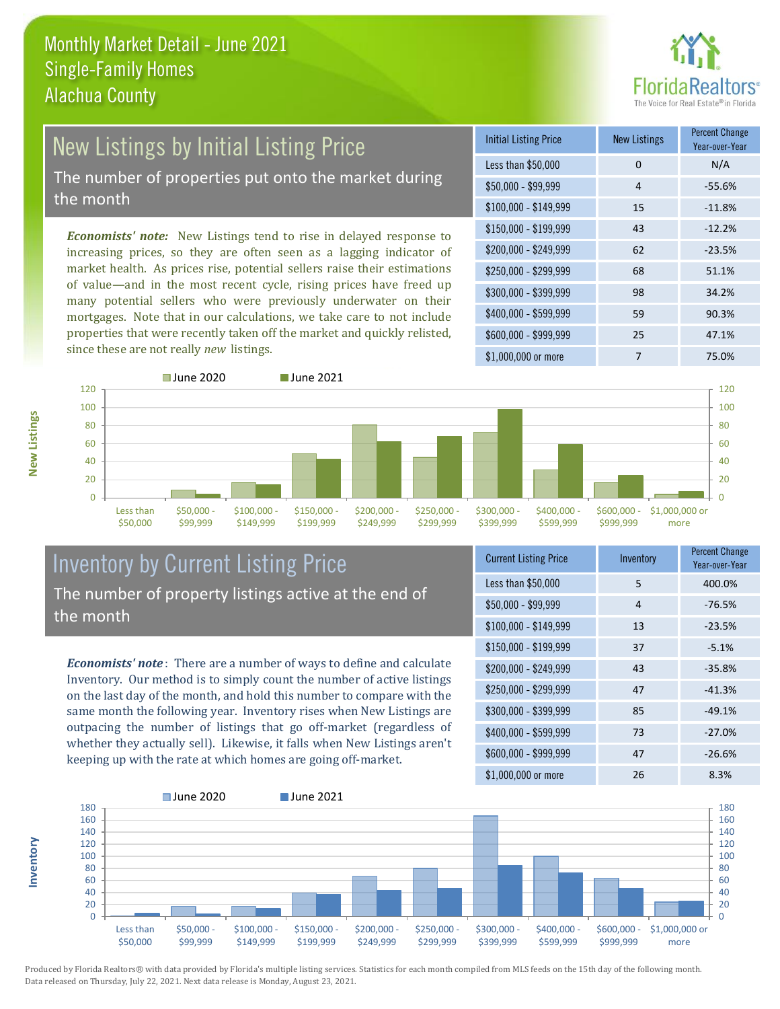

# New Listings by Initial Listing Price

The number of properties put onto the market during the month

*Economists' note:* New Listings tend to rise in delayed response to increasing prices, so they are often seen as a lagging indicator of market health. As prices rise, potential sellers raise their estimations of value—and in the most recent cycle, rising prices have freed up many potential sellers who were previously underwater on their mortgages. Note that in our calculations, we take care to not include properties that were recently taken off the market and quickly relisted, since these are not really *new* listings.

| <b>Initial Listing Price</b> | <b>New Listings</b> | <b>Percent Change</b><br>Year-over-Year |
|------------------------------|---------------------|-----------------------------------------|
| Less than \$50,000           | $\Omega$            | N/A                                     |
| $$50,000 - $99,999$          | $\overline{4}$      | $-55.6%$                                |
| $$100,000 - $149,999$        | 15                  | $-11.8%$                                |
| $$150,000 - $199,999$        | 43                  | $-12.2%$                                |
| \$200,000 - \$249,999        | 62                  | $-23.5%$                                |
| \$250,000 - \$299,999        | 68                  | 51.1%                                   |
| \$300,000 - \$399,999        | 98                  | 34.2%                                   |
| \$400,000 - \$599,999        | 59                  | 90.3%                                   |
| \$600,000 - \$999,999        | 25                  | 47.1%                                   |
| \$1,000,000 or more          | 7                   | 75.0%                                   |



#### Inventory by Current Listing Price The number of property listings active at the end of the month

*Economists' note* : There are a number of ways to define and calculate Inventory. Our method is to simply count the number of active listings on the last day of the month, and hold this number to compare with the same month the following year. Inventory rises when New Listings are outpacing the number of listings that go off-market (regardless of whether they actually sell). Likewise, it falls when New Listings aren't keeping up with the rate at which homes are going off-market.

| <b>Current Listing Price</b> | Inventory | <b>Percent Change</b><br>Year-over-Year |
|------------------------------|-----------|-----------------------------------------|
| Less than \$50,000           | 5         | 400.0%                                  |
| $$50,000 - $99,999$          | 4         | $-76.5%$                                |
| $$100,000 - $149,999$        | 13        | $-23.5%$                                |
| $$150,000 - $199,999$        | 37        | $-5.1%$                                 |
| \$200,000 - \$249,999        | 43        | $-35.8%$                                |
| \$250,000 - \$299,999        | 47        | $-41.3%$                                |
| \$300,000 - \$399,999        | 85        | $-49.1%$                                |
| \$400,000 - \$599,999        | 73        | $-27.0%$                                |
| \$600,000 - \$999,999        | 47        | $-26.6%$                                |
| \$1,000,000 or more          | 26        | 8.3%                                    |



Produced by Florida Realtors® with data provided by Florida's multiple listing services. Statistics for each month compiled from MLS feeds on the 15th day of the following month. Data released on Thursday, July 22, 2021. Next data release is Monday, August 23, 2021.

**Inventory**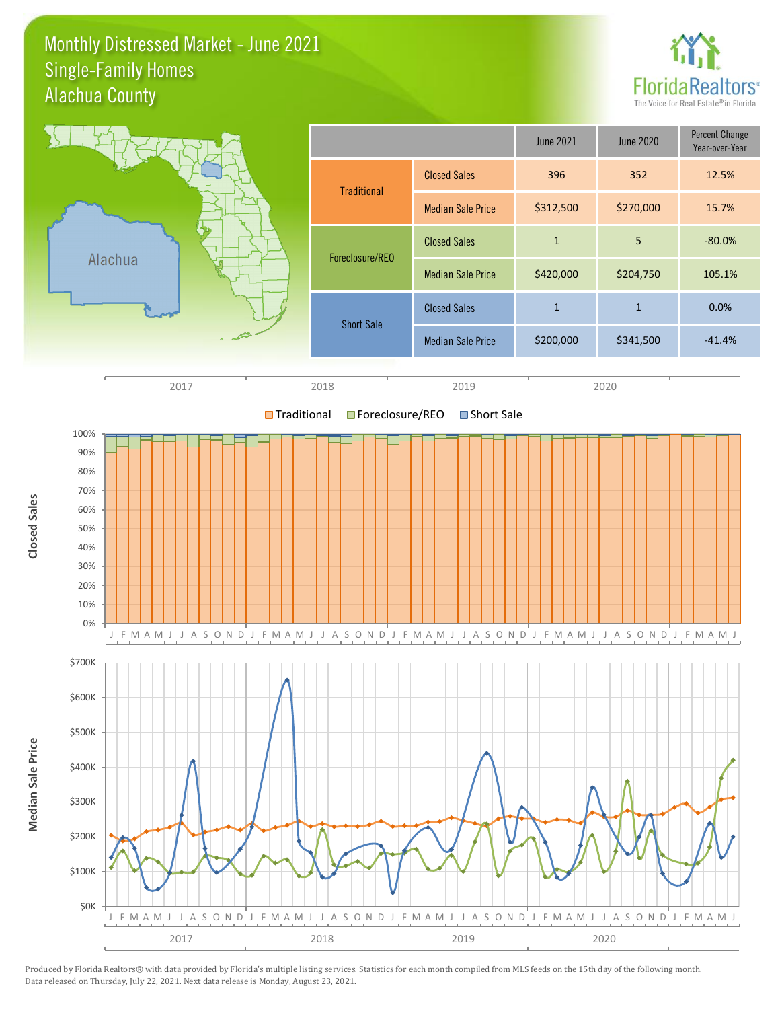#### Monthly Distressed Market - June 2021 Alachua County Single-Family Homes



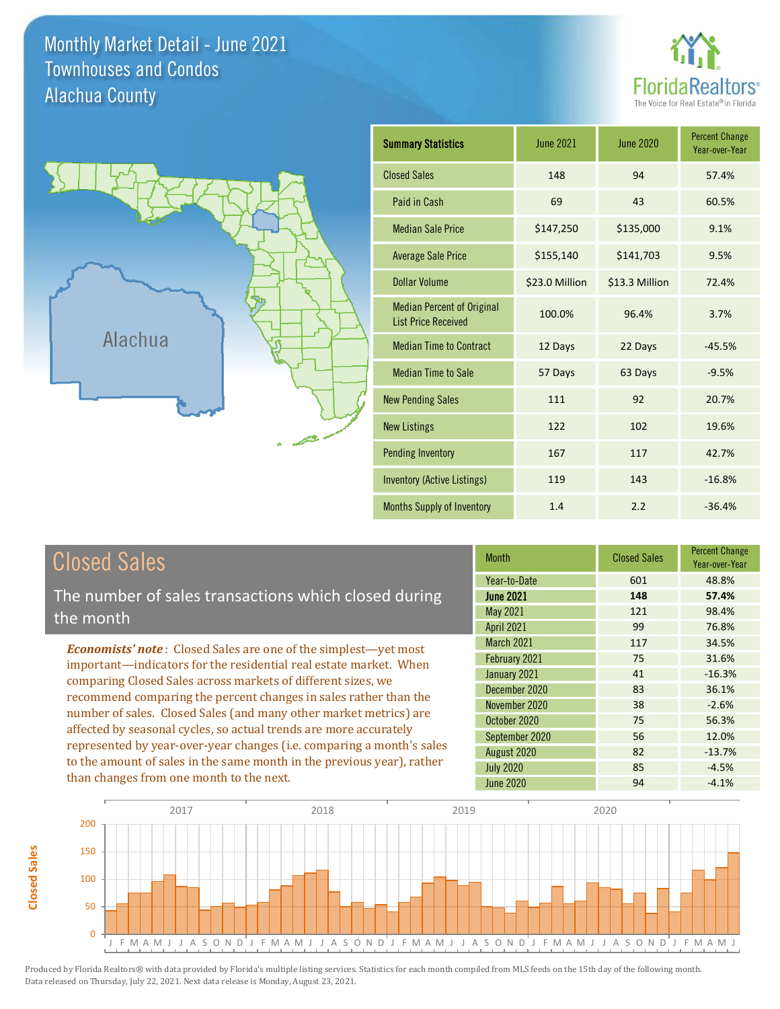Monthly Market Detail - June 2021 Alachua County Townhouses and Condos

![](_page_4_Picture_1.jpeg)

![](_page_4_Figure_2.jpeg)

| <b>Summary Statistics</b>                                       | June 2021      | <b>June 2020</b> | <b>Percent Change</b><br>Year-over-Year |
|-----------------------------------------------------------------|----------------|------------------|-----------------------------------------|
| <b>Closed Sales</b>                                             | 148            | 94               | 57.4%                                   |
| Paid in Cash                                                    | 69             | 43               | 60.5%                                   |
| <b>Median Sale Price</b>                                        | \$147,250      | \$135,000        | 9.1%                                    |
| <b>Average Sale Price</b>                                       | \$155,140      | \$141,703        | 9.5%                                    |
| <b>Dollar Volume</b>                                            | \$23.0 Million | \$13.3 Million   | 72.4%                                   |
| <b>Median Percent of Original</b><br><b>List Price Received</b> | 100.0%         | 96.4%            | 3.7%                                    |
| <b>Median Time to Contract</b>                                  | 12 Days        | 22 Days          | $-45.5%$                                |
| <b>Median Time to Sale</b>                                      | 57 Days        | 63 Days          | $-9.5%$                                 |
| <b>New Pending Sales</b>                                        | 111            | 92               | 20.7%                                   |
| <b>New Listings</b>                                             | 122            | 102              | 19.6%                                   |
| <b>Pending Inventory</b>                                        | 167            | 117              | 42.7%                                   |
| Inventory (Active Listings)                                     | 119            | 143              | $-16.8%$                                |
| Months Supply of Inventory                                      | 1.4            | 2.2              | $-36.4%$                                |

## Closed Sales

**Closed Sales**

**Closed Sales** 

The number of sales transactions which closed during the month

*Economists' note* : Closed Sales are one of the simplest—yet most important—indicators for the residential real estate market. When comparing Closed Sales across markets of different sizes, we recommend comparing the percent changes in sales rather than the number of sales. Closed Sales (and many other market metrics) are affected by seasonal cycles, so actual trends are more accurately represented by year-over-year changes (i.e. comparing a month's sales to the amount of sales in the same month in the previous year), rather than changes from one month to the next.

| <b>Month</b>      | <b>Closed Sales</b> | <b>Percent Change</b><br>Year-over-Year |
|-------------------|---------------------|-----------------------------------------|
| Year-to-Date      | 601                 | 48.8%                                   |
| <b>June 2021</b>  | 148                 | 57.4%                                   |
| May 2021          | 121                 | 98.4%                                   |
| <b>April 2021</b> | 99                  | 76.8%                                   |
| March 2021        | 117                 | 34.5%                                   |
| February 2021     | 75                  | 31.6%                                   |
| January 2021      | 41                  | $-16.3%$                                |
| December 2020     | 83                  | 36.1%                                   |
| November 2020     | 38                  | $-2.6%$                                 |
| October 2020      | 75                  | 56.3%                                   |
| September 2020    | 56                  | 12.0%                                   |
| August 2020       | 82                  | $-13.7%$                                |
| <b>July 2020</b>  | 85                  | $-4.5%$                                 |
| <b>June 2020</b>  | 94                  | $-4.1%$                                 |

![](_page_4_Figure_8.jpeg)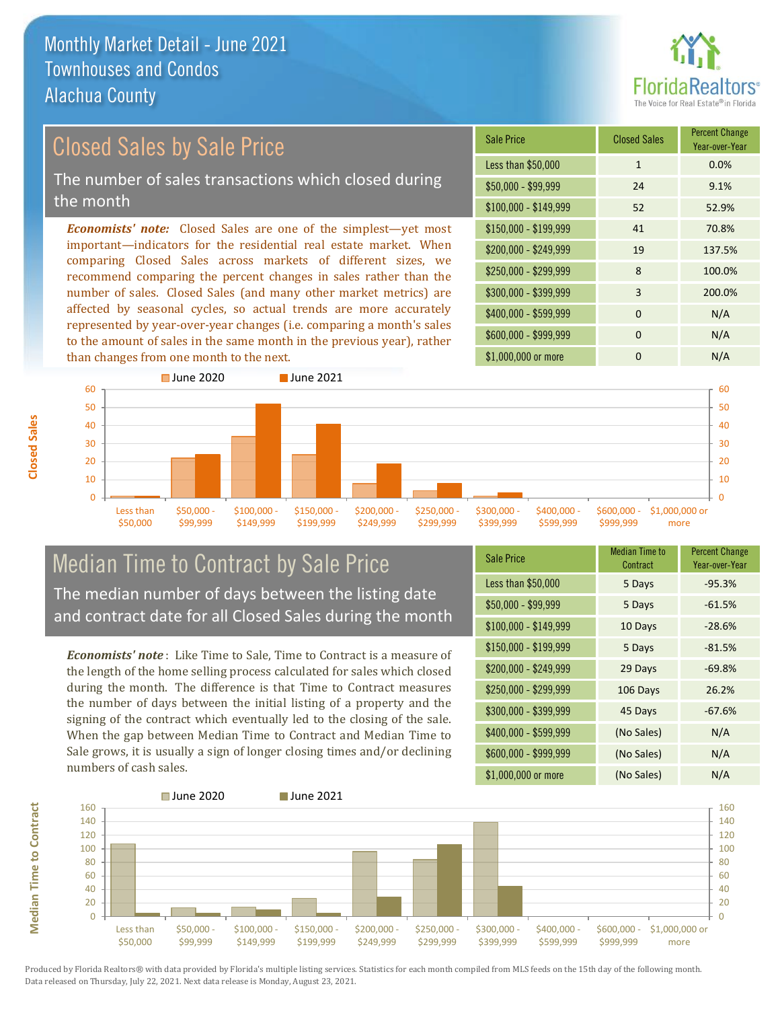![](_page_5_Picture_1.jpeg)

Year-over-Year

#### Sale Price Closed Sales Percent Change *Economists' note:* Closed Sales are one of the simplest—yet most important—indicators for the residential real estate market. When comparing Closed Sales across markets of different sizes, we recommend comparing the percent changes in sales rather than the Closed Sales by Sale Price The number of sales transactions which closed during the month

number of sales. Closed Sales (and many other market metrics) are affected by seasonal cycles, so actual trends are more accurately represented by year-over-year changes (i.e. comparing a month's sales to the amount of sales in the same month in the previous year), rather than changes from one month to the next.

![](_page_5_Figure_4.jpeg)

![](_page_5_Figure_5.jpeg)

#### Median Time to Contract by Sale Price The median number of days between the listing date and contract date for all Closed Sales during the month

*Economists' note* : Like Time to Sale, Time to Contract is a measure of the length of the home selling process calculated for sales which closed during the month. The difference is that Time to Contract measures the number of days between the initial listing of a property and the signing of the contract which eventually led to the closing of the sale. When the gap between Median Time to Contract and Median Time to Sale grows, it is usually a sign of longer closing times and/or declining numbers of cash sales.

| <b>Sale Price</b>     | Median Time to<br>Contract | <b>Percent Change</b><br>Year-over-Year |
|-----------------------|----------------------------|-----------------------------------------|
| Less than \$50,000    | 5 Days                     | $-95.3%$                                |
| $$50,000 - $99,999$   | 5 Days                     | $-61.5%$                                |
| $$100,000 - $149,999$ | 10 Days                    | $-28.6%$                                |
| $$150,000 - $199,999$ | 5 Days                     | $-81.5%$                                |
| \$200,000 - \$249,999 | 29 Days                    | $-69.8%$                                |
| \$250,000 - \$299,999 | 106 Days                   | 26.2%                                   |
| \$300,000 - \$399,999 | 45 Days                    | $-67.6%$                                |
| \$400,000 - \$599,999 | (No Sales)                 | N/A                                     |
| \$600,000 - \$999,999 | (No Sales)                 | N/A                                     |
| \$1,000,000 or more   | (No Sales)                 | N/A                                     |

![](_page_5_Figure_9.jpeg)

**Median Time to Contract Median Time to Contract**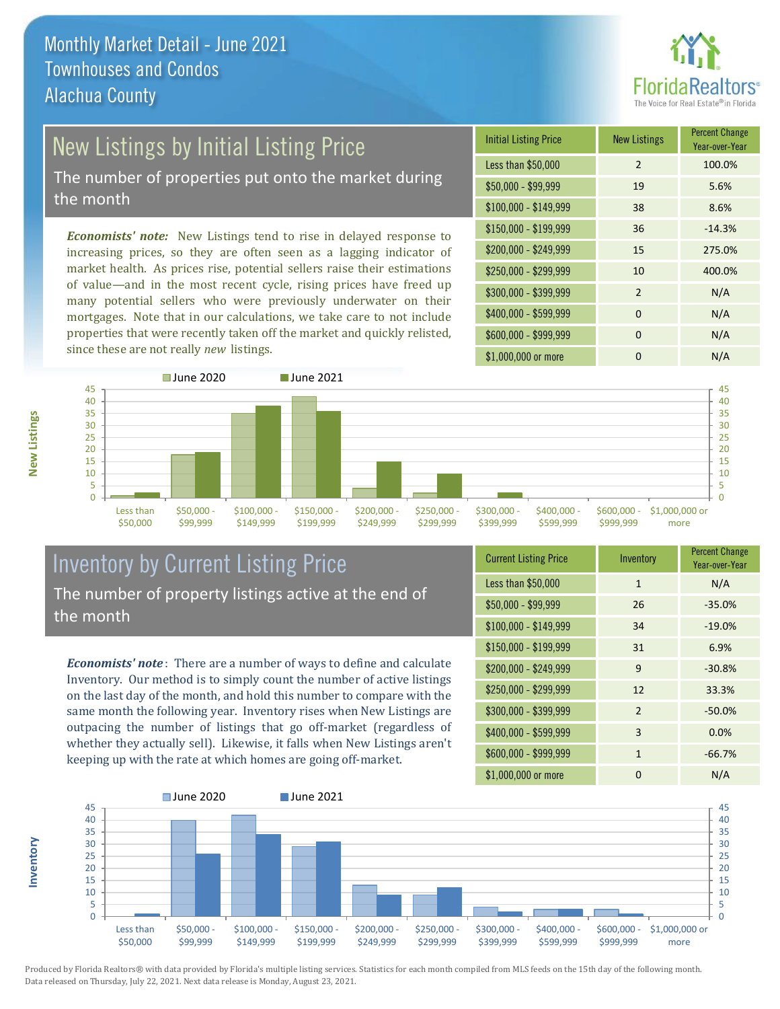![](_page_6_Picture_1.jpeg)

# New Listings by Initial Listing Price

The number of properties put onto the market during the month

*Economists' note:* New Listings tend to rise in delayed response to increasing prices, so they are often seen as a lagging indicator of market health. As prices rise, potential sellers raise their estimations of value—and in the most recent cycle, rising prices have freed up many potential sellers who were previously underwater on their mortgages. Note that in our calculations, we take care to not include properties that were recently taken off the market and quickly relisted, since these are not really *new* listings.

| <b>Initial Listing Price</b> | <b>New Listings</b> | <b>Percent Change</b><br>Year-over-Year |
|------------------------------|---------------------|-----------------------------------------|
| Less than \$50,000           | $\overline{2}$      | 100.0%                                  |
| $$50,000 - $99,999$          | 19                  | 5.6%                                    |
| $$100,000 - $149,999$        | 38                  | 8.6%                                    |
| $$150,000 - $199,999$        | 36                  | $-14.3%$                                |
| \$200,000 - \$249,999        | 15                  | 275.0%                                  |
| \$250,000 - \$299,999        | 10                  | 400.0%                                  |
| \$300,000 - \$399,999        | $\mathcal{P}$       | N/A                                     |
| \$400,000 - \$599,999        | $\Omega$            | N/A                                     |
| \$600,000 - \$999,999        | 0                   | N/A                                     |
| \$1,000,000 or more          | O                   | N/A                                     |

![](_page_6_Figure_6.jpeg)

#### Inventory by Current Listing Price The number of property listings active at the end of the month

*Economists' note* : There are a number of ways to define and calculate Inventory. Our method is to simply count the number of active listings on the last day of the month, and hold this number to compare with the same month the following year. Inventory rises when New Listings are outpacing the number of listings that go off-market (regardless of whether they actually sell). Likewise, it falls when New Listings aren't keeping up with the rate at which homes are going off-market.

| <b>Current Listing Price</b> | Inventory      | <b>Percent Change</b><br>Year-over-Year |
|------------------------------|----------------|-----------------------------------------|
| Less than \$50,000           | $\mathbf{1}$   | N/A                                     |
| $$50,000 - $99,999$          | 26             | $-35.0%$                                |
| $$100,000 - $149,999$        | 34             | $-19.0%$                                |
| $$150,000 - $199,999$        | 31             | 6.9%                                    |
| \$200,000 - \$249,999        | 9              | $-30.8%$                                |
| \$250,000 - \$299,999        | 12             | 33.3%                                   |
| \$300,000 - \$399,999        | $\overline{2}$ | $-50.0%$                                |
| \$400,000 - \$599,999        | 3              | 0.0%                                    |
| \$600,000 - \$999,999        | $\mathbf{1}$   | $-66.7%$                                |
| \$1,000,000 or more          | 0              | N/A                                     |

![](_page_6_Figure_10.jpeg)

Produced by Florida Realtors® with data provided by Florida's multiple listing services. Statistics for each month compiled from MLS feeds on the 15th day of the following month. Data released on Thursday, July 22, 2021. Next data release is Monday, August 23, 2021.

**Inventory**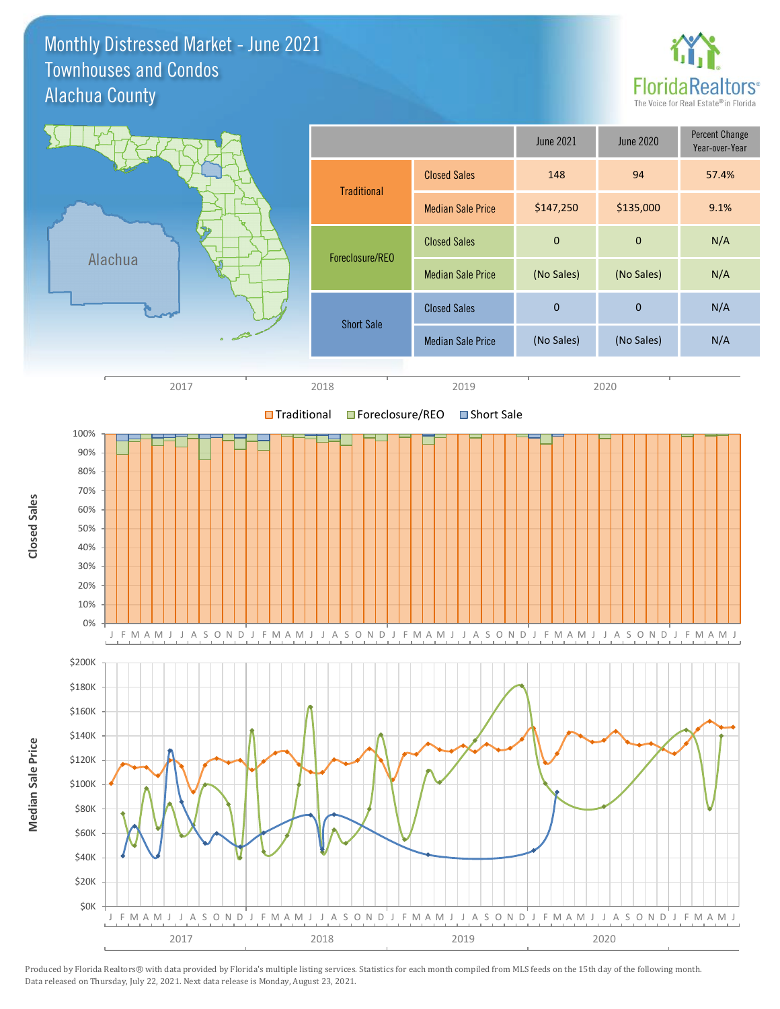Monthly Distressed Market - June 2021 Alachua County Townhouses and Condos

![](_page_7_Picture_1.jpeg)

![](_page_7_Figure_2.jpeg)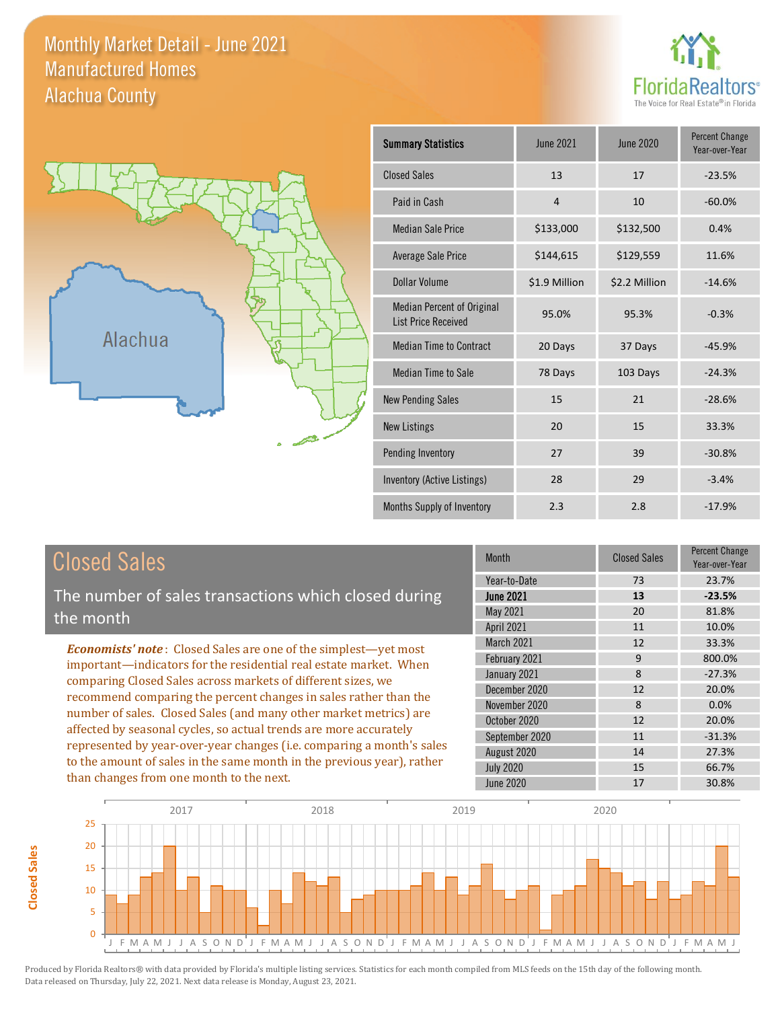Monthly Market Detail - June 2021 Alachua County Manufactured Homes

![](_page_8_Picture_1.jpeg)

![](_page_8_Figure_2.jpeg)

| <b>Summary Statistics</b>                                       | <b>June 2021</b> | June 2020     | <b>Percent Change</b><br>Year-over-Year |
|-----------------------------------------------------------------|------------------|---------------|-----------------------------------------|
| <b>Closed Sales</b>                                             | 13               | 17            | $-23.5%$                                |
| Paid in Cash                                                    | $\overline{4}$   | 10            | $-60.0%$                                |
| <b>Median Sale Price</b>                                        | \$133,000        | \$132,500     | 0.4%                                    |
| <b>Average Sale Price</b>                                       | \$144,615        | \$129,559     | 11.6%                                   |
| Dollar Volume                                                   | \$1.9 Million    | \$2.2 Million | $-14.6%$                                |
| <b>Median Percent of Original</b><br><b>List Price Received</b> | 95.0%            | 95.3%         | $-0.3%$                                 |
| <b>Median Time to Contract</b>                                  | 20 Days          | 37 Days       | $-45.9%$                                |
| <b>Median Time to Sale</b>                                      | 78 Days          | 103 Days      | $-24.3%$                                |
| <b>New Pending Sales</b>                                        | 15               | 21            | $-28.6%$                                |
| <b>New Listings</b>                                             | 20               | 15            | 33.3%                                   |
| Pending Inventory                                               | 27               | 39            | $-30.8%$                                |
| Inventory (Active Listings)                                     | 28               | 29            | $-3.4%$                                 |
| Months Supply of Inventory                                      | 2.3              | 2.8           | $-17.9%$                                |

#### Closed Sales

The number of sales transactions which closed during the month

*Economists' note* : Closed Sales are one of the simplest—yet most important—indicators for the residential real estate market. When comparing Closed Sales across markets of different sizes, we recommend comparing the percent changes in sales rather than the number of sales. Closed Sales (and many other market metrics) are affected by seasonal cycles, so actual trends are more accurately represented by year-over-year changes (i.e. comparing a month's sales to the amount of sales in the same month in the previous year), rather than changes from one month to the next.

| <b>Month</b>     | <b>Closed Sales</b> | Percent Change<br>Year-over-Year |
|------------------|---------------------|----------------------------------|
| Year-to-Date     | 73                  | 23.7%                            |
| <b>June 2021</b> | 13                  | $-23.5%$                         |
| May 2021         | 20                  | 81.8%                            |
| April 2021       | 11                  | 10.0%                            |
| March 2021       | 12                  | 33.3%                            |
| February 2021    | 9                   | 800.0%                           |
| January 2021     | 8                   | $-27.3%$                         |
| December 2020    | 12                  | 20.0%                            |
| November 2020    | 8                   | 0.0%                             |
| October 2020     | 12                  | 20.0%                            |
| September 2020   | 11                  | $-31.3%$                         |
| August 2020      | 14                  | 27.3%                            |
| <b>July 2020</b> | 15                  | 66.7%                            |
| <b>June 2020</b> | 17                  | 30.8%                            |

![](_page_8_Figure_8.jpeg)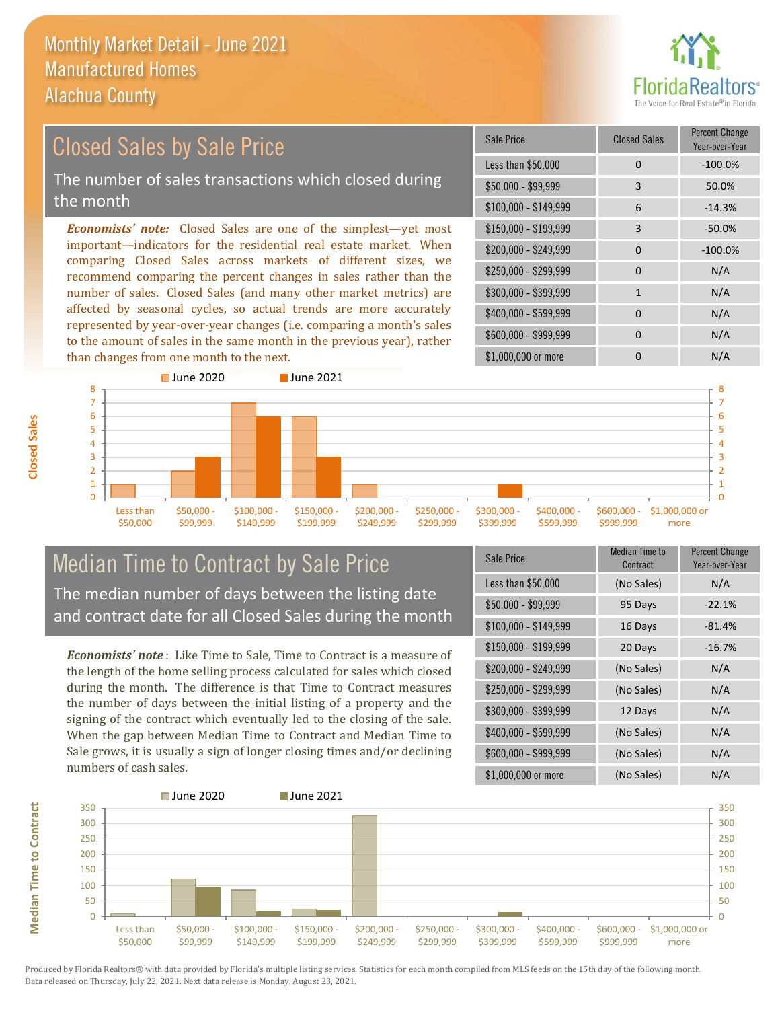![](_page_9_Picture_1.jpeg)

#### $$100,000 - $149,999$  6 -14.3% Sale Price Closed Sales Percent Change Year-over-Year Less than \$50,000 0 0 -100.0% \$50,000 - \$99,999 3 50.0% \$150,000 - \$199,999 3 -50.0% \$200,000 - \$249,999 0 -100.0%  $$400,000 - $599,999$  0 N/A *Economists' note:* Closed Sales are one of the simplest—yet most important—indicators for the residential real estate market. When comparing Closed Sales across markets of different sizes, we recommend comparing the percent changes in sales rather than the number of sales. Closed Sales (and many other market metrics) are affected by seasonal cycles, so actual trends are more accurately represented by year-over-year changes (i.e. comparing a month's sales \$250,000 - \$299,999 0 0 N/A \$300,000 - \$399,999 1 N/A Closed Sales by Sale Price The number of sales transactions which closed during the month

![](_page_9_Figure_3.jpeg)

#### Median Time to Contract by Sale Price The median number of days between the listing date and contract date for all Closed Sales during the month

to the amount of sales in the same month in the previous year), rather

*Economists' note* : Like Time to Sale, Time to Contract is a measure of the length of the home selling process calculated for sales which closed during the month. The difference is that Time to Contract measures the number of days between the initial listing of a property and the signing of the contract which eventually led to the closing of the sale. When the gap between Median Time to Contract and Median Time to Sale grows, it is usually a sign of longer closing times and/or declining numbers of cash sales.

| <b>Sale Price</b>     | <b>Median Time to</b><br>Contract | <b>Percent Change</b><br>Year-over-Year |
|-----------------------|-----------------------------------|-----------------------------------------|
| Less than \$50,000    | (No Sales)                        | N/A                                     |
| $$50,000 - $99,999$   | 95 Days                           | $-22.1%$                                |
| $$100,000 - $149,999$ | 16 Days                           | $-81.4%$                                |
| $$150,000 - $199,999$ | 20 Days                           | $-16.7%$                                |
| \$200,000 - \$249,999 | (No Sales)                        | N/A                                     |
| \$250,000 - \$299,999 | (No Sales)                        | N/A                                     |
| \$300,000 - \$399,999 | 12 Days                           | N/A                                     |
| \$400,000 - \$599,999 | (No Sales)                        | N/A                                     |
| \$600,000 - \$999,999 | (No Sales)                        | N/A                                     |
| \$1,000,000 or more   | (No Sales)                        | N/A                                     |

\$600,000 - \$999,999 0 0 N/A

![](_page_9_Figure_7.jpeg)

**Closed Sales**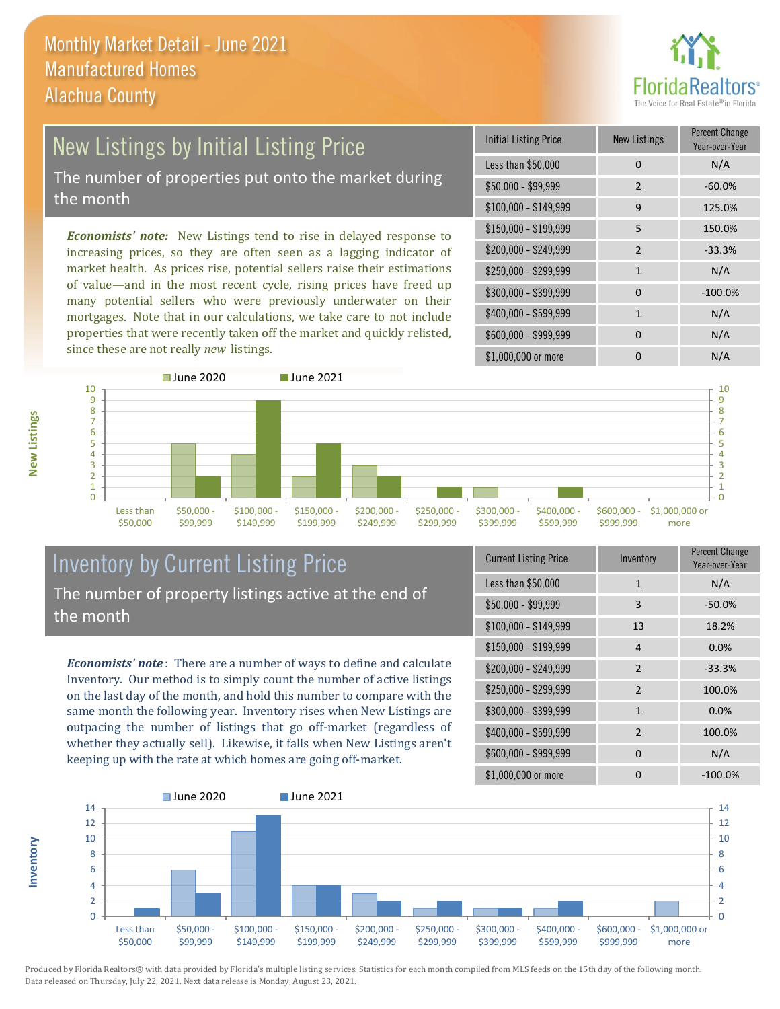![](_page_10_Picture_1.jpeg)

#### New Listings by Initial Listing Price The number of properties put onto the market during the month

*Economists' note:* New Listings tend to rise in delayed response to increasing prices, so they are often seen as a lagging indicator of market health. As prices rise, potential sellers raise their estimations of value—and in the most recent cycle, rising prices have freed up many potential sellers who were previously underwater on their mortgages. Note that in our calculations, we take care to not include properties that were recently taken off the market and quickly relisted, since these are not really *new* listings.

| Initial Listing Price | New Listings   | <b>Percent Change</b><br>Year-over-Year |
|-----------------------|----------------|-----------------------------------------|
| Less than \$50,000    | 0              | N/A                                     |
| $$50,000 - $99,999$   | $\overline{2}$ | $-60.0%$                                |
| $$100,000 - $149,999$ | 9              | 125.0%                                  |
| $$150,000 - $199,999$ | 5              | 150.0%                                  |
| \$200,000 - \$249,999 | $\mathcal{P}$  | $-33.3%$                                |
| \$250,000 - \$299,999 | $\mathbf{1}$   | N/A                                     |
| \$300,000 - \$399,999 | 0              | $-100.0%$                               |
| \$400,000 - \$599,999 | 1              | N/A                                     |
| \$600,000 - \$999,999 | $\Omega$       | N/A                                     |
| \$1,000,000 or more   | n              | N/A                                     |

![](_page_10_Figure_5.jpeg)

#### Inventory by Current Listing Price The number of property listings active at the end of the month

*Economists' note* : There are a number of ways to define and calculate Inventory. Our method is to simply count the number of active listings on the last day of the month, and hold this number to compare with the same month the following year. Inventory rises when New Listings are outpacing the number of listings that go off-market (regardless of whether they actually sell). Likewise, it falls when New Listings aren't keeping up with the rate at which homes are going off-market.

| <b>Current Listing Price</b> | Inventory      | Percent Change<br>Year-over-Year |
|------------------------------|----------------|----------------------------------|
| Less than \$50,000           | $\mathbf{1}$   | N/A                              |
| $$50,000 - $99,999$          | 3              | $-50.0%$                         |
| $$100,000 - $149,999$        | 13             | 18.2%                            |
| $$150,000 - $199,999$        | 4              | 0.0%                             |
| \$200,000 - \$249,999        | $\overline{2}$ | $-33.3%$                         |
| \$250,000 - \$299,999        | $\overline{2}$ | 100.0%                           |
| \$300,000 - \$399,999        | $\mathbf{1}$   | 0.0%                             |
| \$400,000 - \$599,999        | $\overline{2}$ | 100.0%                           |
| \$600,000 - \$999,999        | $\Omega$       | N/A                              |
| \$1,000,000 or more          | O              | $-100.0\%$                       |

![](_page_10_Figure_9.jpeg)

**Inventory**